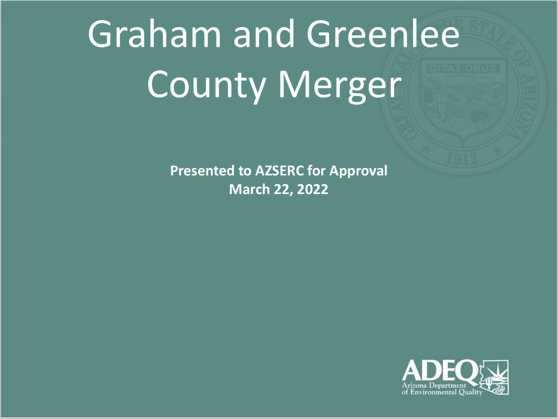# Graham and Greenlee County Merger

**Presented to AZSERC for Approval March 22, 2022**

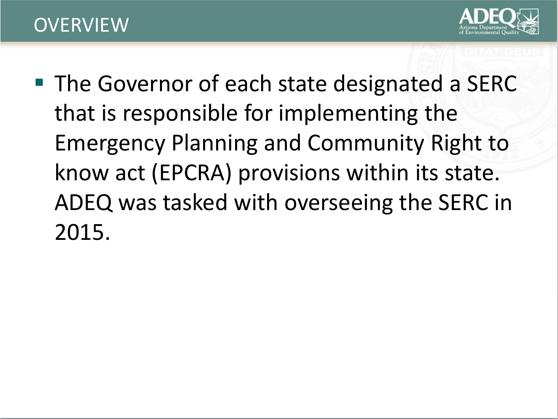### **OVERVIEW**



■ The Governor of each state designated a SERC that is responsible for implementing the Emergency Planning and Community Right to know act (EPCRA) provisions within its state. ADEQ was tasked with overseeing the SERC in 2015.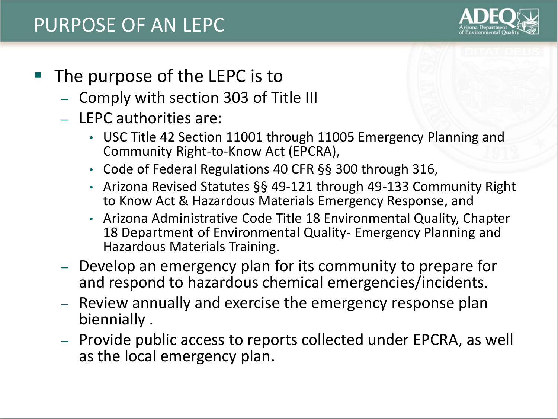## PURPOSE OF AN LEPC



#### The purpose of the LEPC is to

- Comply with section 303 of Title III
- LEPC authorities are:
	- USC Title 42 Section 11001 through 11005 Emergency Planning and Community Right-to-Know Act (EPCRA),
	- Code of Federal Regulations 40 CFR §§ 300 through 316,
	- Arizona Revised Statutes §§ 49-121 through 49-133 Community Right to Know Act & Hazardous Materials Emergency Response, and
	- Arizona Administrative Code Title 18 Environmental Quality, Chapter 18 Department of Environmental Quality- Emergency Planning and Hazardous Materials Training.
- Develop an emergency plan for its community to prepare for and respond to hazardous chemical emergencies/incidents.
- Review annually and exercise the emergency response plan biennially .
- Provide public access to reports collected under EPCRA, as well as the local emergency plan.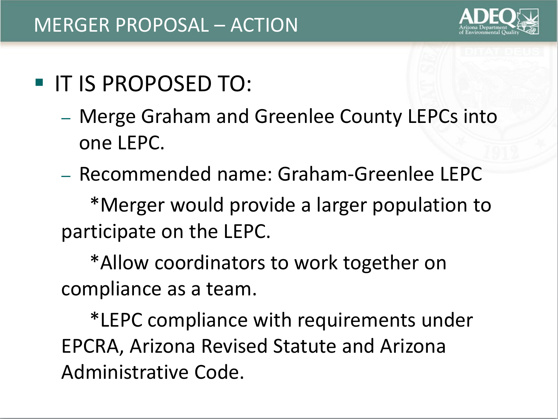

# **IF IS PROPOSED TO:**

- Merge Graham and Greenlee County LEPCs into one LEPC.
- Recommended name: Graham-Greenlee LEPC

\*Merger would provide a larger population to participate on the LEPC.

\*Allow coordinators to work together on compliance as a team.

\*LEPC compliance with requirements under EPCRA, Arizona Revised Statute and Arizona Administrative Code.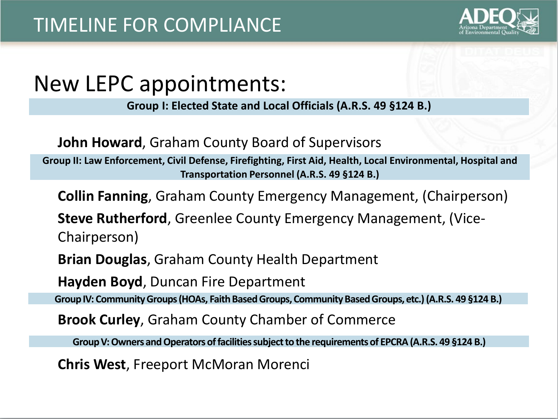

## New LEPC appointments:

**Group I: Elected State and Local Officials (A.R.S. 49 §124 B.)**

**John Howard**, Graham County Board of Supervisors

**Group II: Law Enforcement, Civil Defense, Firefighting, First Aid, Health, Local Environmental, Hospital and Transportation Personnel (A.R.S. 49 §124 B.)**

**Collin Fanning**, Graham County Emergency Management, (Chairperson)

**Steve Rutherford**, Greenlee County Emergency Management, (Vice-Chairperson)

**Brian Douglas**, Graham County Health Department

**Hayden Boyd**, Duncan Fire Department

**Group IV: Community Groups (HOAs, Faith Based Groups, Community Based Groups, etc.) (A.R.S. 49 §124 B.)**

**Brook Curley**, Graham County Chamber of Commerce

**Group V: Owners and Operators of facilities subject to the requirements of EPCRA (A.R.S. 49 §124 B.)**

**Chris West**, Freeport McMoran Morenci